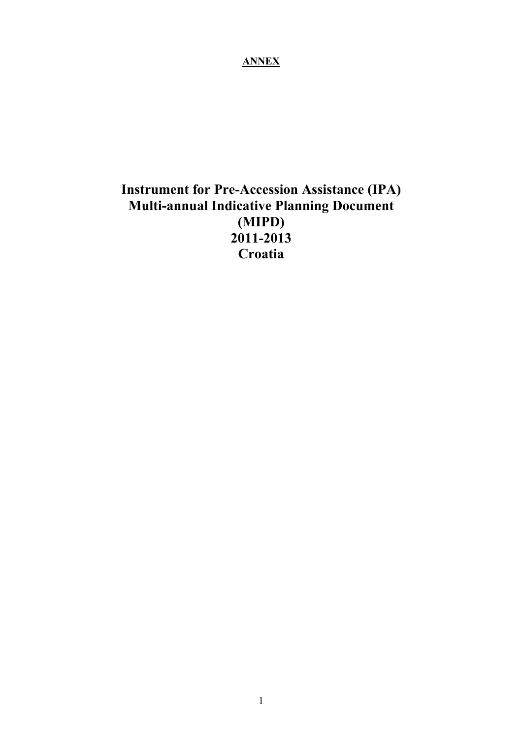## **ANNEX**

# **Instrument for Pre-Accession Assistance (IPA) Multi-annual Indicative Planning Document (MIPD) 2011-2013 Croatia**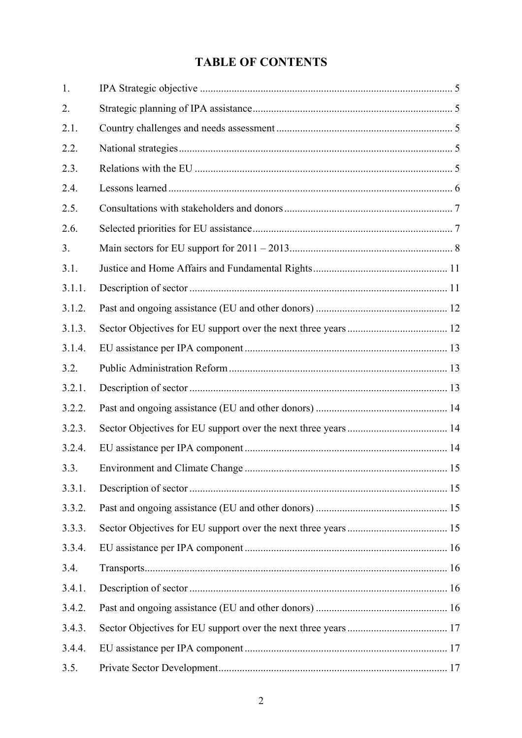## **TABLE OF CONTENTS**

| 1.     |  |
|--------|--|
| 2.     |  |
| 2.1.   |  |
| 2.2.   |  |
| 2.3.   |  |
| 2.4.   |  |
| 2.5.   |  |
| 2.6.   |  |
| 3.     |  |
| 3.1.   |  |
| 3.1.1. |  |
| 3.1.2. |  |
| 3.1.3. |  |
| 3.1.4. |  |
| 3.2.   |  |
| 3.2.1. |  |
| 3.2.2. |  |
| 3.2.3. |  |
| 3.2.4. |  |
| 3.3.   |  |
| 3.3.1. |  |
| 3.3.2. |  |
| 3.3.3. |  |
| 3.3.4. |  |
| 3.4.   |  |
| 3.4.1. |  |
| 3.4.2. |  |
| 3.4.3. |  |
| 3.4.4. |  |
| 3.5.   |  |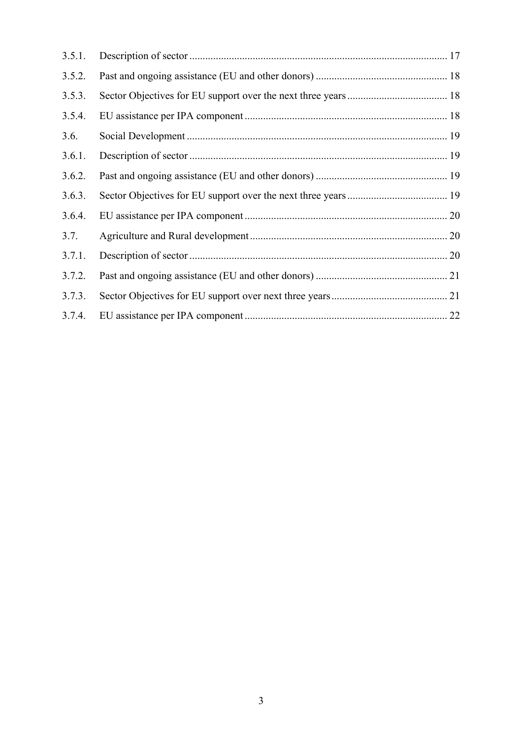| 3.5.1. |  |
|--------|--|
| 3.5.2. |  |
| 3.5.3. |  |
| 3.5.4. |  |
| 3.6.   |  |
| 3.6.1. |  |
| 3.6.2. |  |
| 3.6.3. |  |
| 3.6.4. |  |
| 3.7.   |  |
| 3.7.1. |  |
| 3.7.2. |  |
| 3.7.3. |  |
| 3.7.4. |  |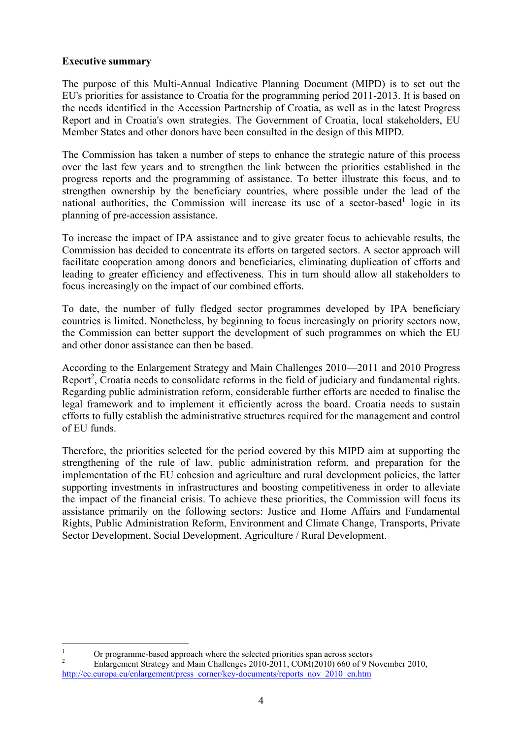### **Executive summary**

The purpose of this Multi-Annual Indicative Planning Document (MIPD) is to set out the EU's priorities for assistance to Croatia for the programming period 2011-2013. It is based on the needs identified in the Accession Partnership of Croatia, as well as in the latest Progress Report and in Croatia's own strategies. The Government of Croatia, local stakeholders, EU Member States and other donors have been consulted in the design of this MIPD.

The Commission has taken a number of steps to enhance the strategic nature of this process over the last few years and to strengthen the link between the priorities established in the progress reports and the programming of assistance. To better illustrate this focus, and to strengthen ownership by the beneficiary countries, where possible under the lead of the national authorities, the Commission will increase its use of a sector-based<sup>1</sup> logic in its planning of pre-accession assistance.

To increase the impact of IPA assistance and to give greater focus to achievable results, the Commission has decided to concentrate its efforts on targeted sectors. A sector approach will facilitate cooperation among donors and beneficiaries, eliminating duplication of efforts and leading to greater efficiency and effectiveness. This in turn should allow all stakeholders to focus increasingly on the impact of our combined efforts.

To date, the number of fully fledged sector programmes developed by IPA beneficiary countries is limited. Nonetheless, by beginning to focus increasingly on priority sectors now, the Commission can better support the development of such programmes on which the EU and other donor assistance can then be based.

According to the Enlargement Strategy and Main Challenges 2010—2011 and 2010 Progress Report<sup>2</sup>, Croatia needs to consolidate reforms in the field of judiciary and fundamental rights. Regarding public administration reform, considerable further efforts are needed to finalise the legal framework and to implement it efficiently across the board. Croatia needs to sustain efforts to fully establish the administrative structures required for the management and control of EU funds.

Therefore, the priorities selected for the period covered by this MIPD aim at supporting the strengthening of the rule of law, public administration reform, and preparation for the implementation of the EU cohesion and agriculture and rural development policies, the latter supporting investments in infrastructures and boosting competitiveness in order to alleviate the impact of the financial crisis. To achieve these priorities, the Commission will focus its assistance primarily on the following sectors: Justice and Home Affairs and Fundamental Rights, Public Administration Reform, Environment and Climate Change, Transports, Private Sector Development, Social Development, Agriculture / Rural Development.

 $\frac{1}{1}$ <sup>1</sup> Or programme-based approach where the selected priorities span across sectors  $\frac{2}{5}$ 

Enlargement Strategy and Main Challenges 2010-2011, COM(2010) 660 of 9 November 2010, [http://ec.europa.eu/enlargement/press\\_corner/key-documents/reports\\_nov\\_2010\\_en.htm](http://ec.europa.eu/enlargement/press_corner/key-documents/reports_nov_2010_en.htm)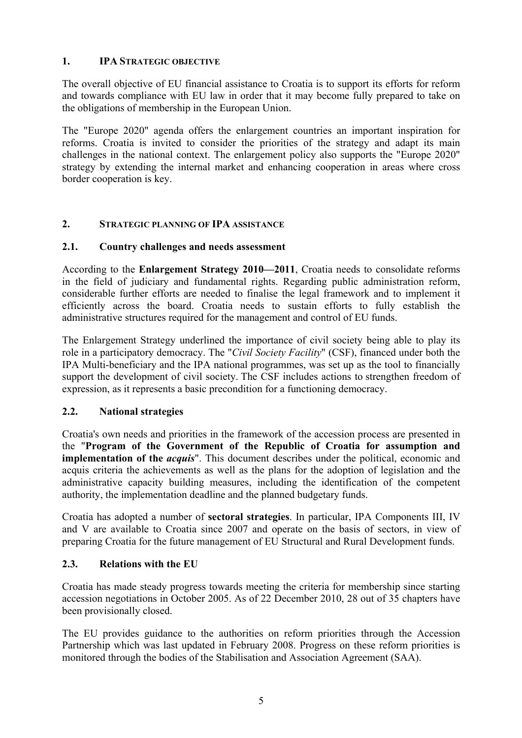## <span id="page-4-0"></span>**1. IPA STRATEGIC OBJECTIVE**

The overall objective of EU financial assistance to Croatia is to support its efforts for reform and towards compliance with EU law in order that it may become fully prepared to take on the obligations of membership in the European Union.

The "Europe 2020" agenda offers the enlargement countries an important inspiration for reforms. Croatia is invited to consider the priorities of the strategy and adapt its main challenges in the national context. The enlargement policy also supports the "Europe 2020" strategy by extending the internal market and enhancing cooperation in areas where cross border cooperation is key.

## <span id="page-4-2"></span><span id="page-4-1"></span>**2. STRATEGIC PLANNING OF IPA ASSISTANCE**

## **2.1. Country challenges and needs assessment**

According to the **Enlargement Strategy 2010—2011**, Croatia needs to consolidate reforms in the field of judiciary and fundamental rights. Regarding public administration reform, considerable further efforts are needed to finalise the legal framework and to implement it efficiently across the board. Croatia needs to sustain efforts to fully establish the administrative structures required for the management and control of EU funds.

The Enlargement Strategy underlined the importance of civil society being able to play its role in a participatory democracy. The "*Civil Society Facility*" (CSF), financed under both the IPA Multi-beneficiary and the IPA national programmes, was set up as the tool to financially support the development of civil society. The CSF includes actions to strengthen freedom of expression, as it represents a basic precondition for a functioning democracy.

#### <span id="page-4-3"></span>**2.2. National strategies**

Croatia's own needs and priorities in the framework of the accession process are presented in the "**Program of the Government of the Republic of Croatia for assumption and implementation of the** *acquis*". This document describes under the political, economic and acquis criteria the achievements as well as the plans for the adoption of legislation and the administrative capacity building measures, including the identification of the competent authority, the implementation deadline and the planned budgetary funds.

Croatia has adopted a number of **sectoral strategies**. In particular, IPA Components III, IV and V are available to Croatia since 2007 and operate on the basis of sectors, in view of preparing Croatia for the future management of EU Structural and Rural Development funds.

## <span id="page-4-4"></span>**2.3. Relations with the EU**

Croatia has made steady progress towards meeting the criteria for membership since starting accession negotiations in October 2005. As of 22 December 2010, 28 out of 35 chapters have been provisionally closed.

The EU provides guidance to the authorities on reform priorities through the Accession Partnership which was last updated in February 2008. Progress on these reform priorities is monitored through the bodies of the Stabilisation and Association Agreement (SAA).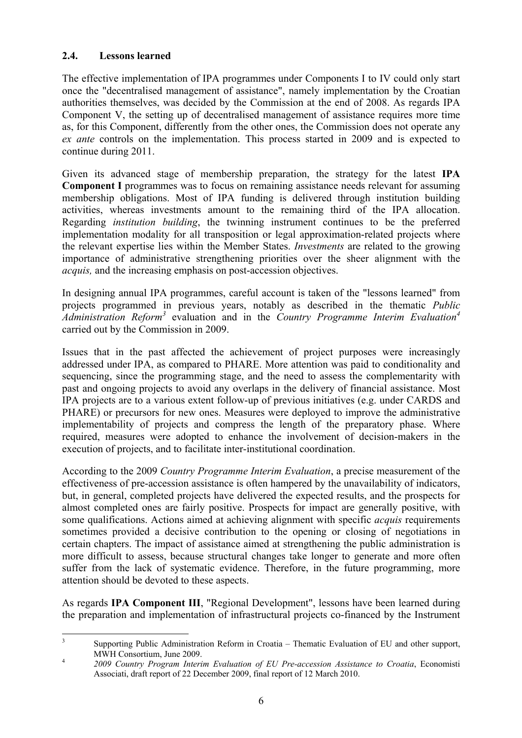#### <span id="page-5-0"></span>**2.4. Lessons learned**

The effective implementation of IPA programmes under Components I to IV could only start once the "decentralised management of assistance", namely implementation by the Croatian authorities themselves, was decided by the Commission at the end of 2008. As regards IPA Component V, the setting up of decentralised management of assistance requires more time as, for this Component, differently from the other ones, the Commission does not operate any *ex ante* controls on the implementation. This process started in 2009 and is expected to continue during 2011.

Given its advanced stage of membership preparation, the strategy for the latest **IPA Component I** programmes was to focus on remaining assistance needs relevant for assuming membership obligations. Most of IPA funding is delivered through institution building activities, whereas investments amount to the remaining third of the IPA allocation. Regarding *institution building*, the twinning instrument continues to be the preferred implementation modality for all transposition or legal approximation-related projects where the relevant expertise lies within the Member States. *Investments* are related to the growing importance of administrative strengthening priorities over the sheer alignment with the *acquis,* and the increasing emphasis on post-accession objectives.

In designing annual IPA programmes, careful account is taken of the "lessons learned" from projects programmed in previous years, notably as described in the thematic *Public Administration Reform3* evaluation and in the *Country Programme Interim Evaluation4* carried out by the Commission in 2009.

Issues that in the past affected the achievement of project purposes were increasingly addressed under IPA, as compared to PHARE. More attention was paid to conditionality and sequencing, since the programming stage, and the need to assess the complementarity with past and ongoing projects to avoid any overlaps in the delivery of financial assistance. Most IPA projects are to a various extent follow-up of previous initiatives (e.g. under CARDS and PHARE) or precursors for new ones. Measures were deployed to improve the administrative implementability of projects and compress the length of the preparatory phase. Where required, measures were adopted to enhance the involvement of decision-makers in the execution of projects, and to facilitate inter-institutional coordination.

According to the 2009 *Country Programme Interim Evaluation*, a precise measurement of the effectiveness of pre-accession assistance is often hampered by the unavailability of indicators, but, in general, completed projects have delivered the expected results, and the prospects for almost completed ones are fairly positive. Prospects for impact are generally positive, with some qualifications. Actions aimed at achieving alignment with specific *acquis* requirements sometimes provided a decisive contribution to the opening or closing of negotiations in certain chapters. The impact of assistance aimed at strengthening the public administration is more difficult to assess, because structural changes take longer to generate and more often suffer from the lack of systematic evidence. Therefore, in the future programming, more attention should be devoted to these aspects.

As regards **IPA Component III**, "Regional Development", lessons have been learned during the preparation and implementation of infrastructural projects co-financed by the Instrument

 $\frac{1}{3}$  Supporting Public Administration Reform in Croatia – Thematic Evaluation of EU and other support, MWH Consortium, June 2009. 4 *2009 Country Program Interim Evaluation of EU Pre-accession Assistance to Croatia*, Economisti

Associati, draft report of 22 December 2009, final report of 12 March 2010.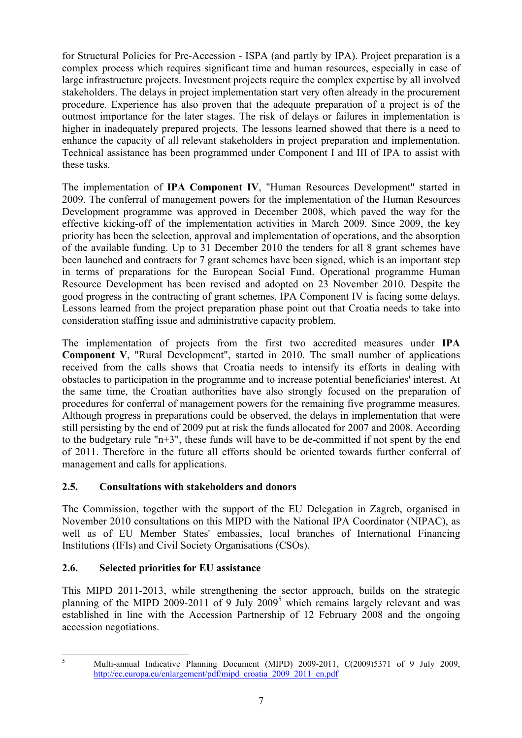for Structural Policies for Pre-Accession - ISPA (and partly by IPA). Project preparation is a complex process which requires significant time and human resources, especially in case of large infrastructure projects. Investment projects require the complex expertise by all involved stakeholders. The delays in project implementation start very often already in the procurement procedure. Experience has also proven that the adequate preparation of a project is of the outmost importance for the later stages. The risk of delays or failures in implementation is higher in inadequately prepared projects. The lessons learned showed that there is a need to enhance the capacity of all relevant stakeholders in project preparation and implementation. Technical assistance has been programmed under Component I and III of IPA to assist with these tasks.

The implementation of **IPA Component IV**, "Human Resources Development" started in 2009. The conferral of management powers for the implementation of the Human Resources Development programme was approved in December 2008, which paved the way for the effective kicking-off of the implementation activities in March 2009. Since 2009, the key priority has been the selection, approval and implementation of operations, and the absorption of the available funding. Up to 31 December 2010 the tenders for all 8 grant schemes have been launched and contracts for 7 grant schemes have been signed, which is an important step in terms of preparations for the European Social Fund. Operational programme Human Resource Development has been revised and adopted on 23 November 2010. Despite the good progress in the contracting of grant schemes, IPA Component IV is facing some delays. Lessons learned from the project preparation phase point out that Croatia needs to take into consideration staffing issue and administrative capacity problem.

The implementation of projects from the first two accredited measures under **IPA Component V**, "Rural Development", started in 2010. The small number of applications received from the calls shows that Croatia needs to intensify its efforts in dealing with obstacles to participation in the programme and to increase potential beneficiaries' interest. At the same time, the Croatian authorities have also strongly focused on the preparation of procedures for conferral of management powers for the remaining five programme measures. Although progress in preparations could be observed, the delays in implementation that were still persisting by the end of 2009 put at risk the funds allocated for 2007 and 2008. According to the budgetary rule " $n+3$ ", these funds will have to be de-committed if not spent by the end of 2011. Therefore in the future all efforts should be oriented towards further conferral of management and calls for applications.

## <span id="page-6-0"></span>**2.5. Consultations with stakeholders and donors**

The Commission, together with the support of the EU Delegation in Zagreb, organised in November 2010 consultations on this MIPD with the National IPA Coordinator (NIPAC), as well as of EU Member States' embassies, local branches of International Financing Institutions (IFIs) and Civil Society Organisations (CSOs).

## <span id="page-6-1"></span>**2.6. Selected priorities for EU assistance**

This MIPD 2011-2013, while strengthening the sector approach, builds on the strategic planning of the MIPD 2009-2011 of 9 July  $2009<sup>5</sup>$  which remains largely relevant and was established in line with the Accession Partnership of 12 February 2008 and the ongoing accession negotiations.

 $\frac{1}{5}$ 

Multi-annual Indicative Planning Document (MIPD) 2009-2011, C(2009)5371 of 9 July 2009, http://ec.europa.eu/enlargement/pdf/mipd\_croatia\_2009\_2011\_en.pdf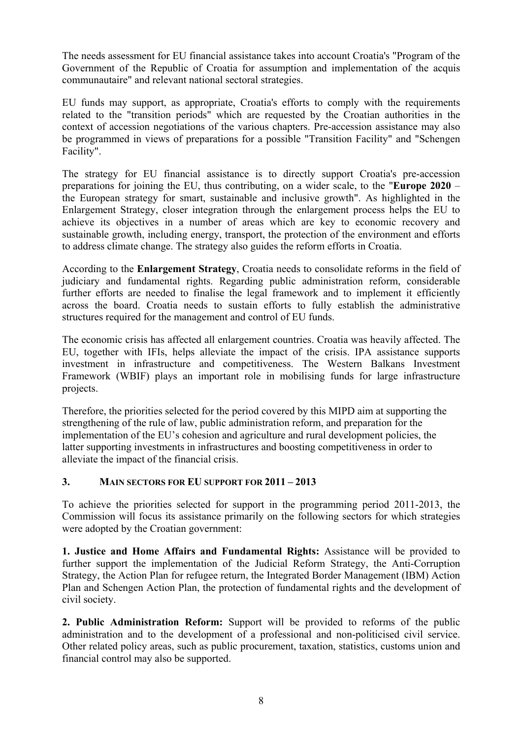The needs assessment for EU financial assistance takes into account Croatia's "Program of the Government of the Republic of Croatia for assumption and implementation of the acquis communautaire" and relevant national sectoral strategies.

EU funds may support, as appropriate, Croatia's efforts to comply with the requirements related to the "transition periods" which are requested by the Croatian authorities in the context of accession negotiations of the various chapters. Pre-accession assistance may also be programmed in views of preparations for a possible "Transition Facility" and "Schengen Facility".

The strategy for EU financial assistance is to directly support Croatia's pre-accession preparations for joining the EU, thus contributing, on a wider scale, to the "**Europe 2020** – the European strategy for smart, sustainable and inclusive growth". As highlighted in the Enlargement Strategy, closer integration through the enlargement process helps the EU to achieve its objectives in a number of areas which are key to economic recovery and sustainable growth, including energy, transport, the protection of the environment and efforts to address climate change. The strategy also guides the reform efforts in Croatia.

According to the **Enlargement Strategy**, Croatia needs to consolidate reforms in the field of judiciary and fundamental rights. Regarding public administration reform, considerable further efforts are needed to finalise the legal framework and to implement it efficiently across the board. Croatia needs to sustain efforts to fully establish the administrative structures required for the management and control of EU funds.

The economic crisis has affected all enlargement countries. Croatia was heavily affected. The EU, together with IFIs, helps alleviate the impact of the crisis. IPA assistance supports investment in infrastructure and competitiveness. The Western Balkans Investment Framework (WBIF) plays an important role in mobilising funds for large infrastructure projects.

Therefore, the priorities selected for the period covered by this MIPD aim at supporting the strengthening of the rule of law, public administration reform, and preparation for the implementation of the EU's cohesion and agriculture and rural development policies, the latter supporting investments in infrastructures and boosting competitiveness in order to alleviate the impact of the financial crisis.

#### <span id="page-7-0"></span>**3. MAIN SECTORS FOR EU SUPPORT FOR 2011 – 2013**

To achieve the priorities selected for support in the programming period 2011-2013, the Commission will focus its assistance primarily on the following sectors for which strategies were adopted by the Croatian government:

**1. Justice and Home Affairs and Fundamental Rights:** Assistance will be provided to further support the implementation of the Judicial Reform Strategy, the Anti-Corruption Strategy, the Action Plan for refugee return, the Integrated Border Management (IBM) Action Plan and Schengen Action Plan, the protection of fundamental rights and the development of civil society.

**2. Public Administration Reform:** Support will be provided to reforms of the public administration and to the development of a professional and non-politicised civil service. Other related policy areas, such as public procurement, taxation, statistics, customs union and financial control may also be supported.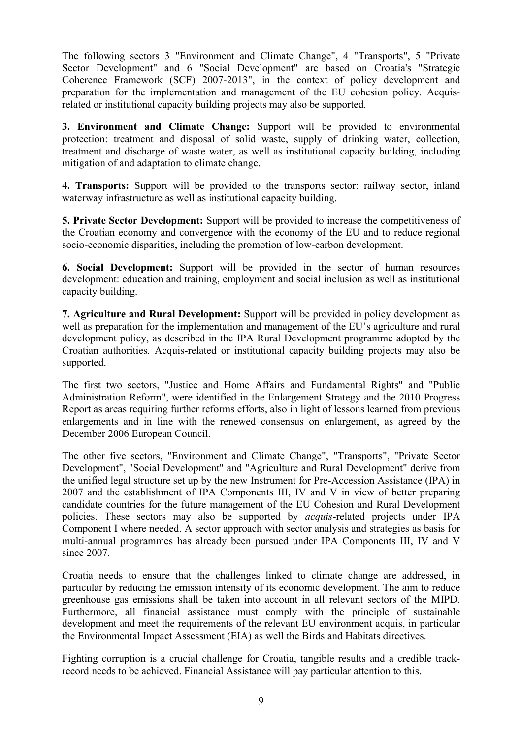The following sectors 3 "Environment and Climate Change", 4 "Transports", 5 "Private Sector Development" and 6 "Social Development" are based on Croatia's "Strategic Coherence Framework (SCF) 2007-2013", in the context of policy development and preparation for the implementation and management of the EU cohesion policy. Acquisrelated or institutional capacity building projects may also be supported.

**3. Environment and Climate Change:** Support will be provided to environmental protection: treatment and disposal of solid waste, supply of drinking water, collection, treatment and discharge of waste water, as well as institutional capacity building, including mitigation of and adaptation to climate change.

**4. Transports:** Support will be provided to the transports sector: railway sector, inland waterway infrastructure as well as institutional capacity building.

**5. Private Sector Development:** Support will be provided to increase the competitiveness of the Croatian economy and convergence with the economy of the EU and to reduce regional socio-economic disparities, including the promotion of low-carbon development.

**6. Social Development:** Support will be provided in the sector of human resources development: education and training, employment and social inclusion as well as institutional capacity building.

**7. Agriculture and Rural Development:** Support will be provided in policy development as well as preparation for the implementation and management of the EU's agriculture and rural development policy, as described in the IPA Rural Development programme adopted by the Croatian authorities. Acquis-related or institutional capacity building projects may also be supported.

The first two sectors, "Justice and Home Affairs and Fundamental Rights" and "Public Administration Reform", were identified in the Enlargement Strategy and the 2010 Progress Report as areas requiring further reforms efforts, also in light of lessons learned from previous enlargements and in line with the renewed consensus on enlargement, as agreed by the December 2006 European Council.

The other five sectors, "Environment and Climate Change", "Transports", "Private Sector Development", "Social Development" and "Agriculture and Rural Development" derive from the unified legal structure set up by the new Instrument for Pre-Accession Assistance (IPA) in 2007 and the establishment of IPA Components III, IV and V in view of better preparing candidate countries for the future management of the EU Cohesion and Rural Development policies. These sectors may also be supported by *acquis*-related projects under IPA Component I where needed. A sector approach with sector analysis and strategies as basis for multi-annual programmes has already been pursued under IPA Components III, IV and V since 2007.

Croatia needs to ensure that the challenges linked to climate change are addressed, in particular by reducing the emission intensity of its economic development. The aim to reduce greenhouse gas emissions shall be taken into account in all relevant sectors of the MIPD. Furthermore, all financial assistance must comply with the principle of sustainable development and meet the requirements of the relevant EU environment acquis, in particular the Environmental Impact Assessment (EIA) as well the Birds and Habitats directives.

Fighting corruption is a crucial challenge for Croatia, tangible results and a credible trackrecord needs to be achieved. Financial Assistance will pay particular attention to this.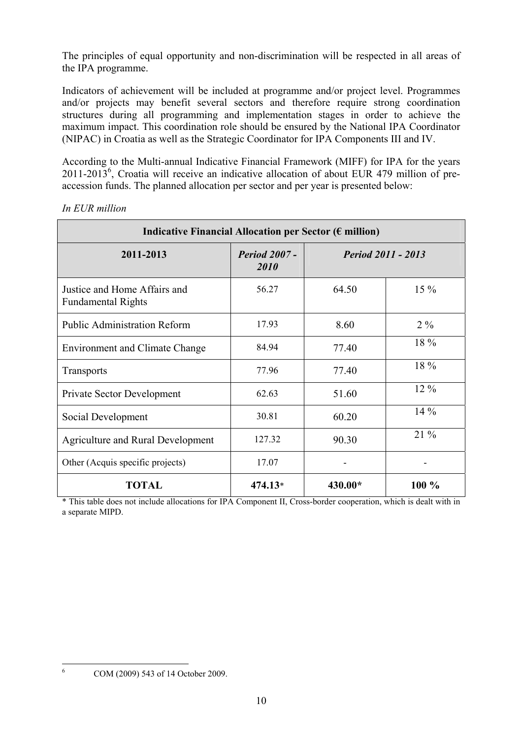The principles of equal opportunity and non-discrimination will be respected in all areas of the IPA programme.

Indicators of achievement will be included at programme and/or project level. Programmes and/or projects may benefit several sectors and therefore require strong coordination structures during all programming and implementation stages in order to achieve the maximum impact. This coordination role should be ensured by the National IPA Coordinator (NIPAC) in Croatia as well as the Strategic Coordinator for IPA Components III and IV.

According to the Multi-annual Indicative Financial Framework (MIFF) for IPA for the years  $2011$ -2013<sup>6</sup>, Croatia will receive an indicative allocation of about EUR 479 million of preaccession funds. The planned allocation per sector and per year is presented below:

| Indicative Financial Allocation per Sector ( $\epsilon$ million) |                              |                           |        |  |  |
|------------------------------------------------------------------|------------------------------|---------------------------|--------|--|--|
| 2011-2013                                                        | <b>Period 2007 -</b><br>2010 | <b>Period 2011 - 2013</b> |        |  |  |
| Justice and Home Affairs and<br><b>Fundamental Rights</b>        | 56.27                        | 64.50                     | $15\%$ |  |  |
| <b>Public Administration Reform</b>                              | 17.93                        | 8.60                      | $2\%$  |  |  |
| <b>Environment and Climate Change</b>                            | 84.94                        | 77.40                     | 18 %   |  |  |
| Transports                                                       | 77.96                        | 77.40                     | 18 %   |  |  |
| Private Sector Development                                       | 62.63                        | 51.60                     | 12 %   |  |  |
| Social Development                                               | 30.81                        | 60.20                     | $14\%$ |  |  |
| <b>Agriculture and Rural Development</b>                         | 127.32                       | 90.30                     | $21\%$ |  |  |
| Other (Acquis specific projects)                                 | 17.07                        |                           |        |  |  |
| <b>TOTAL</b>                                                     | 474.13*                      | 430.00*                   | 100 %  |  |  |

*In EUR million* 

\* This table does not include allocations for IPA Component II, Cross-border cooperation, which is dealt with in a separate MIPD.

 $\frac{1}{6}$ 

COM (2009) 543 of 14 October 2009.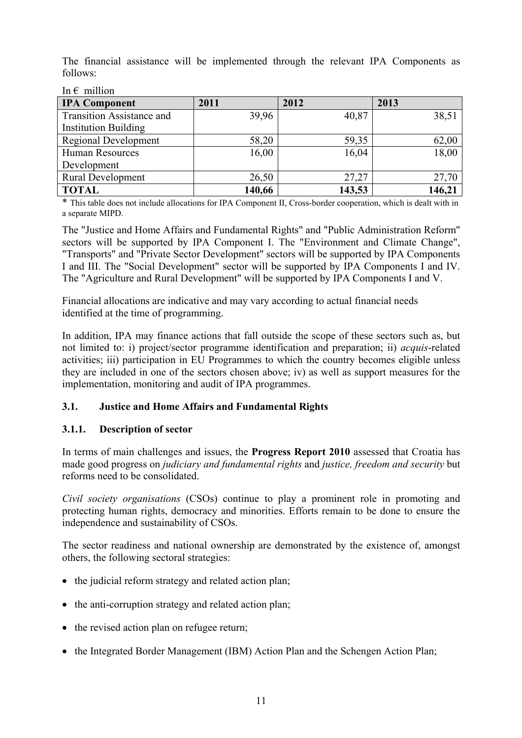The financial assistance will be implemented through the relevant IPA Components as follows:

| <b>IPA Component</b>             | 2011   | 2012   | 2013   |  |
|----------------------------------|--------|--------|--------|--|
| <b>Transition Assistance and</b> | 39,96  | 40,87  | 38,51  |  |
| <b>Institution Building</b>      |        |        |        |  |
| Regional Development             | 58,20  | 59,35  | 62,00  |  |
| <b>Human Resources</b>           | 16,00  | 16,04  | 18,00  |  |
| Development                      |        |        |        |  |
| <b>Rural Development</b>         | 26,50  | 27,27  | 27,70  |  |
| <b>TOTAL</b>                     | 140,66 | 143,53 | 146,21 |  |

In  $\epsilon$  million

\* This table does not include allocations for IPA Component II, Cross-border cooperation, which is dealt with in a separate MIPD.

The "Justice and Home Affairs and Fundamental Rights" and "Public Administration Reform" sectors will be supported by IPA Component I. The "Environment and Climate Change", "Transports" and "Private Sector Development" sectors will be supported by IPA Components I and III. The "Social Development" sector will be supported by IPA Components I and IV. The "Agriculture and Rural Development" will be supported by IPA Components I and V.

Financial allocations are indicative and may vary according to actual financial needs identified at the time of programming.

In addition, IPA may finance actions that fall outside the scope of these sectors such as, but not limited to: i) project/sector programme identification and preparation; ii) *acquis*-related activities; iii) participation in EU Programmes to which the country becomes eligible unless they are included in one of the sectors chosen above; iv) as well as support measures for the implementation, monitoring and audit of IPA programmes.

## <span id="page-10-0"></span>**3.1. Justice and Home Affairs and Fundamental Rights**

#### <span id="page-10-1"></span>**3.1.1. Description of sector**

In terms of main challenges and issues, the **Progress Report 2010** assessed that Croatia has made good progress on *judiciary and fundamental rights* and *justice, freedom and security* but reforms need to be consolidated.

*Civil society organisations* (CSOs) continue to play a prominent role in promoting and protecting human rights, democracy and minorities. Efforts remain to be done to ensure the independence and sustainability of CSOs.

The sector readiness and national ownership are demonstrated by the existence of, amongst others, the following sectoral strategies:

- the judicial reform strategy and related action plan:
- the anti-corruption strategy and related action plan;
- the revised action plan on refugee return;
- the Integrated Border Management (IBM) Action Plan and the Schengen Action Plan;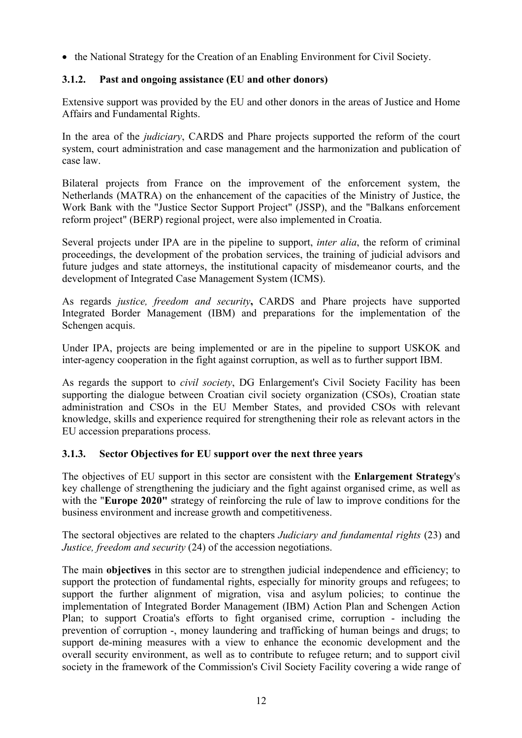<span id="page-11-0"></span>• the National Strategy for the Creation of an Enabling Environment for Civil Society.

## **3.1.2. Past and ongoing assistance (EU and other donors)**

Extensive support was provided by the EU and other donors in the areas of Justice and Home Affairs and Fundamental Rights.

In the area of the *judiciary*, CARDS and Phare projects supported the reform of the court system, court administration and case management and the harmonization and publication of case law.

Bilateral projects from France on the improvement of the enforcement system, the Netherlands (MATRA) on the enhancement of the capacities of the Ministry of Justice, the Work Bank with the "Justice Sector Support Project" (JSSP), and the "Balkans enforcement reform project" (BERP) regional project, were also implemented in Croatia.

Several projects under IPA are in the pipeline to support, *inter alia*, the reform of criminal proceedings, the development of the probation services, the training of judicial advisors and future judges and state attorneys, the institutional capacity of misdemeanor courts, and the development of Integrated Case Management System (ICMS).

As regards *justice, freedom and security***,** CARDS and Phare projects have supported Integrated Border Management (IBM) and preparations for the implementation of the Schengen acquis.

Under IPA, projects are being implemented or are in the pipeline to support USKOK and inter-agency cooperation in the fight against corruption, as well as to further support IBM.

As regards the support to *civil society*, DG Enlargement's Civil Society Facility has been supporting the dialogue between Croatian civil society organization (CSOs), Croatian state administration and CSOs in the EU Member States, and provided CSOs with relevant knowledge, skills and experience required for strengthening their role as relevant actors in the EU accession preparations process.

#### <span id="page-11-1"></span>**3.1.3. Sector Objectives for EU support over the next three years**

The objectives of EU support in this sector are consistent with the **Enlargement Strategy**'s key challenge of strengthening the judiciary and the fight against organised crime, as well as with the "**Europe 2020"** strategy of reinforcing the rule of law to improve conditions for the business environment and increase growth and competitiveness.

The sectoral objectives are related to the chapters *Judiciary and fundamental rights* (23) and *Justice, freedom and security* (24) of the accession negotiations.

The main **objectives** in this sector are to strengthen judicial independence and efficiency; to support the protection of fundamental rights, especially for minority groups and refugees; to support the further alignment of migration, visa and asylum policies; to continue the implementation of Integrated Border Management (IBM) Action Plan and Schengen Action Plan; to support Croatia's efforts to fight organised crime, corruption - including the prevention of corruption -, money laundering and trafficking of human beings and drugs; to support de-mining measures with a view to enhance the economic development and the overall security environment, as well as to contribute to refugee return; and to support civil society in the framework of the Commission's Civil Society Facility covering a wide range of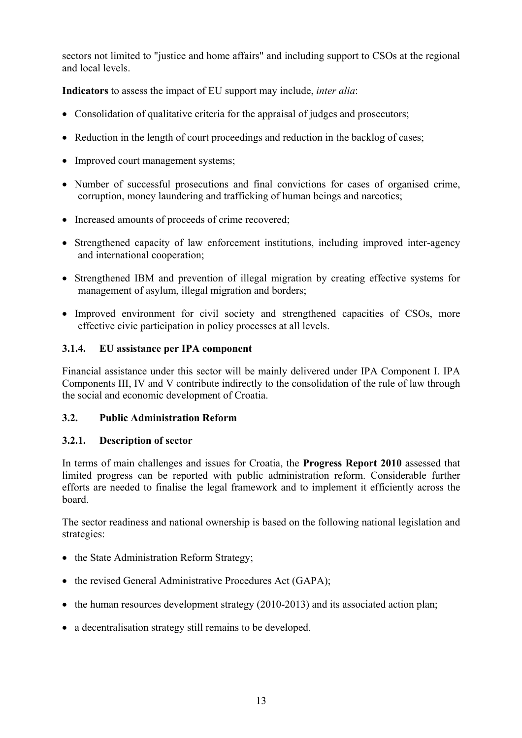sectors not limited to "justice and home affairs" and including support to CSOs at the regional and local levels.

**Indicators** to assess the impact of EU support may include, *inter alia*:

- Consolidation of qualitative criteria for the appraisal of judges and prosecutors;
- Reduction in the length of court proceedings and reduction in the backlog of cases;
- Improved court management systems;
- Number of successful prosecutions and final convictions for cases of organised crime, corruption, money laundering and trafficking of human beings and narcotics;
- Increased amounts of proceeds of crime recovered;
- Strengthened capacity of law enforcement institutions, including improved inter-agency and international cooperation;
- Strengthened IBM and prevention of illegal migration by creating effective systems for management of asylum, illegal migration and borders;
- Improved environment for civil society and strengthened capacities of CSOs, more effective civic participation in policy processes at all levels.

## <span id="page-12-0"></span>**3.1.4. EU assistance per IPA component**

Financial assistance under this sector will be mainly delivered under IPA Component I. IPA Components III, IV and V contribute indirectly to the consolidation of the rule of law through the social and economic development of Croatia.

## <span id="page-12-1"></span>**3.2. Public Administration Reform**

## <span id="page-12-2"></span>**3.2.1. Description of sector**

In terms of main challenges and issues for Croatia, the **Progress Report 2010** assessed that limited progress can be reported with public administration reform. Considerable further efforts are needed to finalise the legal framework and to implement it efficiently across the board.

The sector readiness and national ownership is based on the following national legislation and strategies:

- the State Administration Reform Strategy;
- the revised General Administrative Procedures Act (GAPA):
- the human resources development strategy (2010-2013) and its associated action plan;
- a decentralisation strategy still remains to be developed.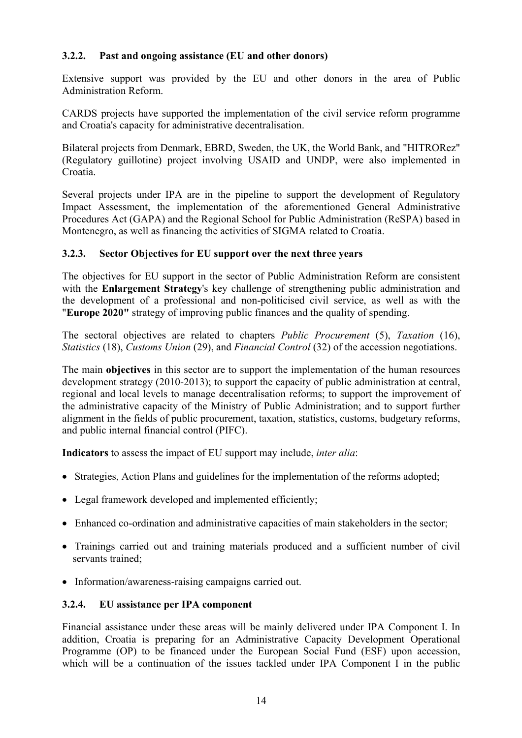## <span id="page-13-0"></span>**3.2.2. Past and ongoing assistance (EU and other donors)**

Extensive support was provided by the EU and other donors in the area of Public Administration Reform.

CARDS projects have supported the implementation of the civil service reform programme and Croatia's capacity for administrative decentralisation.

Bilateral projects from Denmark, EBRD, Sweden, the UK, the World Bank, and "HITRORez" (Regulatory guillotine) project involving USAID and UNDP, were also implemented in Croatia.

Several projects under IPA are in the pipeline to support the development of Regulatory Impact Assessment, the implementation of the aforementioned General Administrative Procedures Act (GAPA) and the Regional School for Public Administration (ReSPA) based in Montenegro, as well as financing the activities of SIGMA related to Croatia.

#### <span id="page-13-1"></span>**3.2.3. Sector Objectives for EU support over the next three years**

The objectives for EU support in the sector of Public Administration Reform are consistent with the **Enlargement Strategy**'s key challenge of strengthening public administration and the development of a professional and non-politicised civil service, as well as with the "**Europe 2020"** strategy of improving public finances and the quality of spending.

The sectoral objectives are related to chapters *Public Procurement* (5), *Taxation* (16), *Statistics* (18), *Customs Union* (29), and *Financial Control* (32) of the accession negotiations.

The main **objectives** in this sector are to support the implementation of the human resources development strategy (2010-2013); to support the capacity of public administration at central, regional and local levels to manage decentralisation reforms; to support the improvement of the administrative capacity of the Ministry of Public Administration; and to support further alignment in the fields of public procurement, taxation, statistics, customs, budgetary reforms, and public internal financial control (PIFC).

**Indicators** to assess the impact of EU support may include, *inter alia*:

- Strategies, Action Plans and guidelines for the implementation of the reforms adopted;
- Legal framework developed and implemented efficiently;
- Enhanced co-ordination and administrative capacities of main stakeholders in the sector;
- Trainings carried out and training materials produced and a sufficient number of civil servants trained;
- Information/awareness-raising campaigns carried out.

#### <span id="page-13-2"></span>**3.2.4. EU assistance per IPA component**

Financial assistance under these areas will be mainly delivered under IPA Component I. In addition, Croatia is preparing for an Administrative Capacity Development Operational Programme (OP) to be financed under the European Social Fund (ESF) upon accession, which will be a continuation of the issues tackled under IPA Component I in the public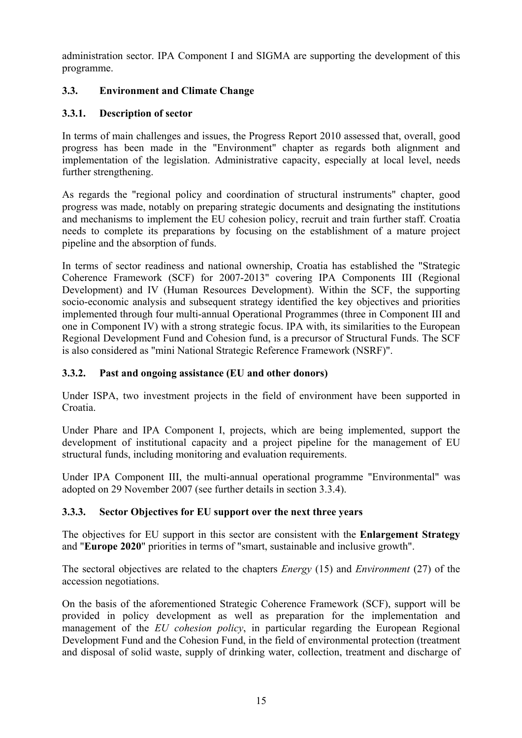administration sector. IPA Component I and SIGMA are supporting the development of this programme.

## <span id="page-14-0"></span>**3.3. Environment and Climate Change**

## <span id="page-14-1"></span>**3.3.1. Description of sector**

In terms of main challenges and issues, the Progress Report 2010 assessed that, overall, good progress has been made in the "Environment" chapter as regards both alignment and implementation of the legislation. Administrative capacity, especially at local level, needs further strengthening.

As regards the "regional policy and coordination of structural instruments" chapter, good progress was made, notably on preparing strategic documents and designating the institutions and mechanisms to implement the EU cohesion policy, recruit and train further staff. Croatia needs to complete its preparations by focusing on the establishment of a mature project pipeline and the absorption of funds.

In terms of sector readiness and national ownership, Croatia has established the "Strategic Coherence Framework (SCF) for 2007-2013" covering IPA Components III (Regional Development) and IV (Human Resources Development). Within the SCF, the supporting socio-economic analysis and subsequent strategy identified the key objectives and priorities implemented through four multi-annual Operational Programmes (three in Component III and one in Component IV) with a strong strategic focus. IPA with, its similarities to the European Regional Development Fund and Cohesion fund, is a precursor of Structural Funds. The SCF is also considered as "mini National Strategic Reference Framework (NSRF)".

## <span id="page-14-2"></span>**3.3.2. Past and ongoing assistance (EU and other donors)**

Under ISPA, two investment projects in the field of environment have been supported in Croatia.

Under Phare and IPA Component I, projects, which are being implemented, support the development of institutional capacity and a project pipeline for the management of EU structural funds, including monitoring and evaluation requirements.

Under IPA Component III, the multi-annual operational programme "Environmental" was adopted on 29 November 2007 (see further details in section 3.3.4).

## <span id="page-14-3"></span>**3.3.3. Sector Objectives for EU support over the next three years**

The objectives for EU support in this sector are consistent with the **Enlargement Strategy** and "**Europe 2020**" priorities in terms of "smart, sustainable and inclusive growth".

The sectoral objectives are related to the chapters *Energy* (15) and *Environment* (27) of the accession negotiations.

On the basis of the aforementioned Strategic Coherence Framework (SCF), support will be provided in policy development as well as preparation for the implementation and management of the *EU cohesion policy*, in particular regarding the European Regional Development Fund and the Cohesion Fund, in the field of environmental protection (treatment and disposal of solid waste, supply of drinking water, collection, treatment and discharge of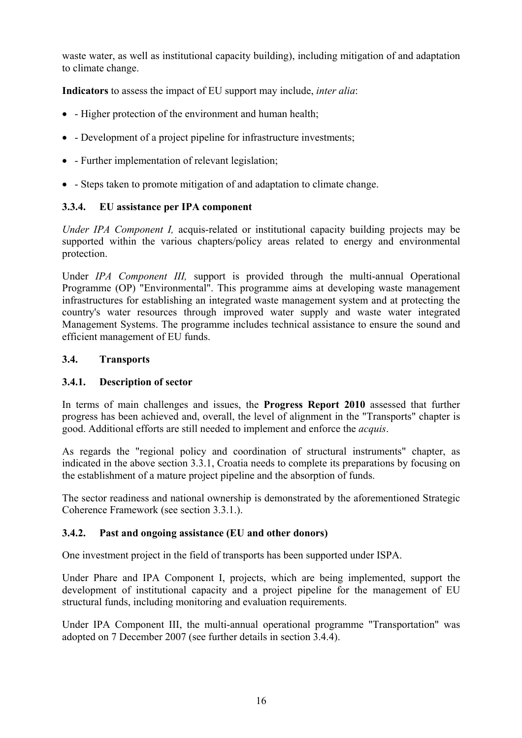waste water, as well as institutional capacity building), including mitigation of and adaptation to climate change.

**Indicators** to assess the impact of EU support may include, *inter alia*:

- - Higher protection of the environment and human health;
- - Development of a project pipeline for infrastructure investments;
- - Further implementation of relevant legislation;
- - Steps taken to promote mitigation of and adaptation to climate change.

## <span id="page-15-0"></span>**3.3.4. EU assistance per IPA component**

*Under IPA Component I,* acquis-related or institutional capacity building projects may be supported within the various chapters/policy areas related to energy and environmental protection.

Under *IPA Component III,* support is provided through the multi-annual Operational Programme (OP) "Environmental". This programme aims at developing waste management infrastructures for establishing an integrated waste management system and at protecting the country's water resources through improved water supply and waste water integrated Management Systems. The programme includes technical assistance to ensure the sound and efficient management of EU funds.

## <span id="page-15-2"></span><span id="page-15-1"></span>**3.4. Transports**

## **3.4.1. Description of sector**

In terms of main challenges and issues, the **Progress Report 2010** assessed that further progress has been achieved and, overall, the level of alignment in the "Transports" chapter is good. Additional efforts are still needed to implement and enforce the *acquis*.

As regards the "regional policy and coordination of structural instruments" chapter, as indicated in the above section 3.3.1, Croatia needs to complete its preparations by focusing on the establishment of a mature project pipeline and the absorption of funds.

The sector readiness and national ownership is demonstrated by the aforementioned Strategic Coherence Framework (see section 3.3.1.).

## <span id="page-15-3"></span>**3.4.2. Past and ongoing assistance (EU and other donors)**

One investment project in the field of transports has been supported under ISPA.

Under Phare and IPA Component I, projects, which are being implemented, support the development of institutional capacity and a project pipeline for the management of EU structural funds, including monitoring and evaluation requirements.

Under IPA Component III, the multi-annual operational programme "Transportation" was adopted on 7 December 2007 (see further details in section 3.4.4).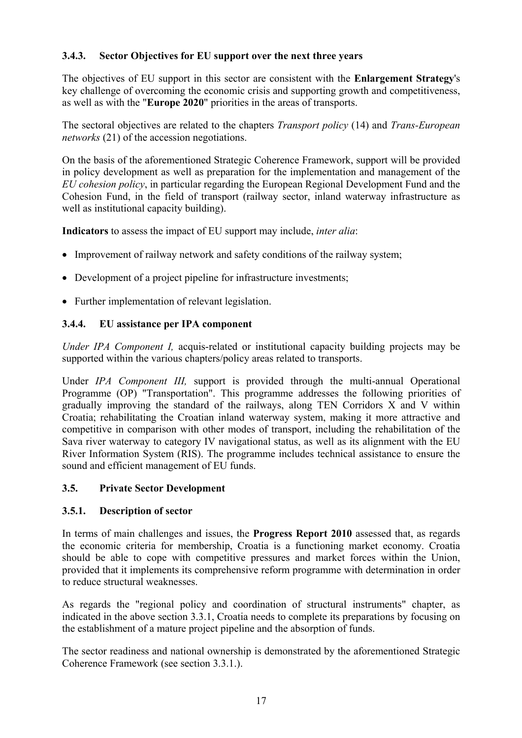## <span id="page-16-0"></span>**3.4.3. Sector Objectives for EU support over the next three years**

The objectives of EU support in this sector are consistent with the **Enlargement Strategy**'s key challenge of overcoming the economic crisis and supporting growth and competitiveness, as well as with the "**Europe 2020**" priorities in the areas of transports.

The sectoral objectives are related to the chapters *Transport policy* (14) and *Trans-European networks* (21) of the accession negotiations.

On the basis of the aforementioned Strategic Coherence Framework, support will be provided in policy development as well as preparation for the implementation and management of the *EU cohesion policy*, in particular regarding the European Regional Development Fund and the Cohesion Fund, in the field of transport (railway sector, inland waterway infrastructure as well as institutional capacity building).

**Indicators** to assess the impact of EU support may include, *inter alia*:

- Improvement of railway network and safety conditions of the railway system:
- Development of a project pipeline for infrastructure investments;
- Further implementation of relevant legislation.

#### <span id="page-16-1"></span>**3.4.4. EU assistance per IPA component**

*Under IPA Component I,* acquis-related or institutional capacity building projects may be supported within the various chapters/policy areas related to transports.

Under *IPA Component III,* support is provided through the multi-annual Operational Programme (OP) "Transportation". This programme addresses the following priorities of gradually improving the standard of the railways, along TEN Corridors X and V within Croatia; rehabilitating the Croatian inland waterway system, making it more attractive and competitive in comparison with other modes of transport, including the rehabilitation of the Sava river waterway to category IV navigational status, as well as its alignment with the EU River Information System (RIS). The programme includes technical assistance to ensure the sound and efficient management of EU funds.

#### <span id="page-16-3"></span><span id="page-16-2"></span>**3.5. Private Sector Development**

#### **3.5.1. Description of sector**

In terms of main challenges and issues, the **Progress Report 2010** assessed that, as regards the economic criteria for membership, Croatia is a functioning market economy. Croatia should be able to cope with competitive pressures and market forces within the Union, provided that it implements its comprehensive reform programme with determination in order to reduce structural weaknesses.

As regards the "regional policy and coordination of structural instruments" chapter, as indicated in the above section 3.3.1, Croatia needs to complete its preparations by focusing on the establishment of a mature project pipeline and the absorption of funds.

The sector readiness and national ownership is demonstrated by the aforementioned Strategic Coherence Framework (see section 3.3.1.).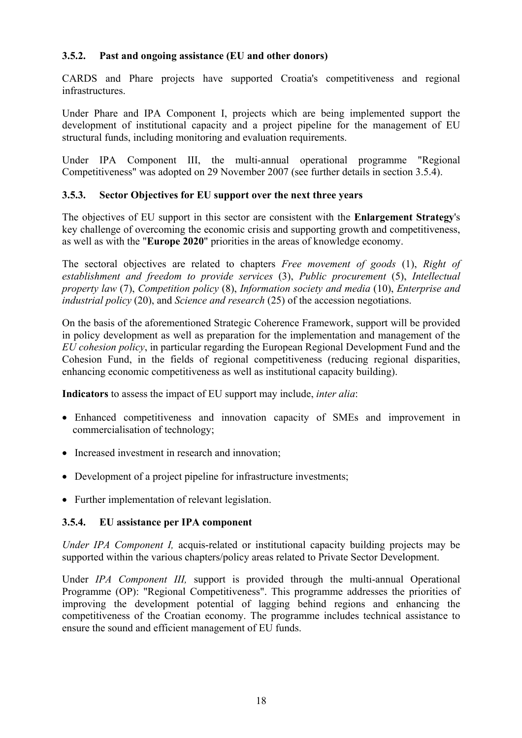#### <span id="page-17-0"></span>**3.5.2. Past and ongoing assistance (EU and other donors)**

CARDS and Phare projects have supported Croatia's competitiveness and regional infrastructures.

Under Phare and IPA Component I, projects which are being implemented support the development of institutional capacity and a project pipeline for the management of EU structural funds, including monitoring and evaluation requirements.

Under IPA Component III, the multi-annual operational programme "Regional Competitiveness" was adopted on 29 November 2007 (see further details in section 3.5.4).

#### <span id="page-17-1"></span>**3.5.3. Sector Objectives for EU support over the next three years**

The objectives of EU support in this sector are consistent with the **Enlargement Strategy**'s key challenge of overcoming the economic crisis and supporting growth and competitiveness, as well as with the "**Europe 2020**" priorities in the areas of knowledge economy.

The sectoral objectives are related to chapters *Free movement of goods* (1), *Right of establishment and freedom to provide services* (3), *Public procurement* (5), *Intellectual property law* (7), *Competition policy* (8), *Information society and media* (10), *Enterprise and industrial policy* (20), and *Science and research* (25) of the accession negotiations.

On the basis of the aforementioned Strategic Coherence Framework, support will be provided in policy development as well as preparation for the implementation and management of the *EU cohesion policy*, in particular regarding the European Regional Development Fund and the Cohesion Fund, in the fields of regional competitiveness (reducing regional disparities, enhancing economic competitiveness as well as institutional capacity building).

**Indicators** to assess the impact of EU support may include, *inter alia*:

- Enhanced competitiveness and innovation capacity of SMEs and improvement in commercialisation of technology;
- Increased investment in research and innovation:
- Development of a project pipeline for infrastructure investments;
- Further implementation of relevant legislation.

#### <span id="page-17-2"></span>**3.5.4. EU assistance per IPA component**

*Under IPA Component I,* acquis-related or institutional capacity building projects may be supported within the various chapters/policy areas related to Private Sector Development.

Under *IPA Component III,* support is provided through the multi-annual Operational Programme (OP): "Regional Competitiveness". This programme addresses the priorities of improving the development potential of lagging behind regions and enhancing the competitiveness of the Croatian economy. The programme includes technical assistance to ensure the sound and efficient management of EU funds.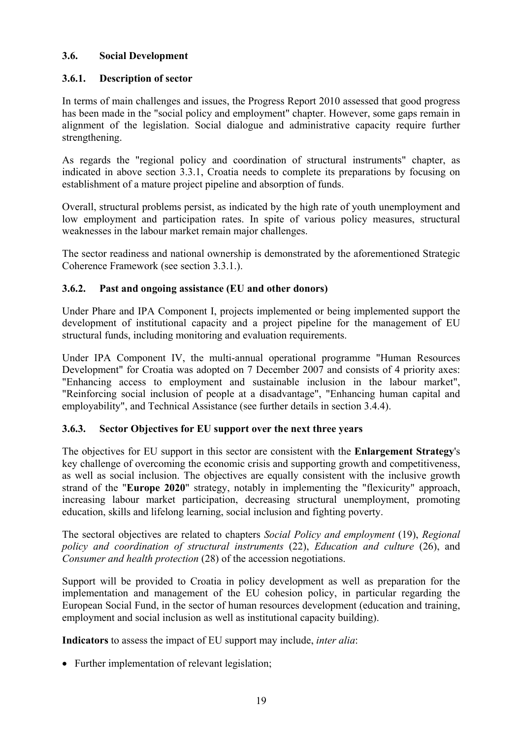#### <span id="page-18-0"></span>**3.6. Social Development**

## <span id="page-18-1"></span>**3.6.1. Description of sector**

In terms of main challenges and issues, the Progress Report 2010 assessed that good progress has been made in the "social policy and employment" chapter. However, some gaps remain in alignment of the legislation. Social dialogue and administrative capacity require further strengthening.

As regards the "regional policy and coordination of structural instruments" chapter, as indicated in above section 3.3.1, Croatia needs to complete its preparations by focusing on establishment of a mature project pipeline and absorption of funds.

Overall, structural problems persist, as indicated by the high rate of youth unemployment and low employment and participation rates. In spite of various policy measures, structural weaknesses in the labour market remain major challenges.

The sector readiness and national ownership is demonstrated by the aforementioned Strategic Coherence Framework (see section 3.3.1.).

## <span id="page-18-2"></span>**3.6.2. Past and ongoing assistance (EU and other donors)**

Under Phare and IPA Component I, projects implemented or being implemented support the development of institutional capacity and a project pipeline for the management of EU structural funds, including monitoring and evaluation requirements.

Under IPA Component IV, the multi-annual operational programme "Human Resources Development" for Croatia was adopted on 7 December 2007 and consists of 4 priority axes: "Enhancing access to employment and sustainable inclusion in the labour market", "Reinforcing social inclusion of people at a disadvantage", "Enhancing human capital and employability", and Technical Assistance (see further details in section 3.4.4).

#### <span id="page-18-3"></span>**3.6.3. Sector Objectives for EU support over the next three years**

The objectives for EU support in this sector are consistent with the **Enlargement Strategy**'s key challenge of overcoming the economic crisis and supporting growth and competitiveness, as well as social inclusion. The objectives are equally consistent with the inclusive growth strand of the "**Europe 2020**" strategy, notably in implementing the "flexicurity" approach, increasing labour market participation, decreasing structural unemployment, promoting education, skills and lifelong learning, social inclusion and fighting poverty.

The sectoral objectives are related to chapters *Social Policy and employment* (19), *Regional policy and coordination of structural instruments* (22), *Education and culture* (26), and *Consumer and health protection* (28) of the accession negotiations.

Support will be provided to Croatia in policy development as well as preparation for the implementation and management of the EU cohesion policy, in particular regarding the European Social Fund, in the sector of human resources development (education and training, employment and social inclusion as well as institutional capacity building).

**Indicators** to assess the impact of EU support may include, *inter alia*:

• Further implementation of relevant legislation;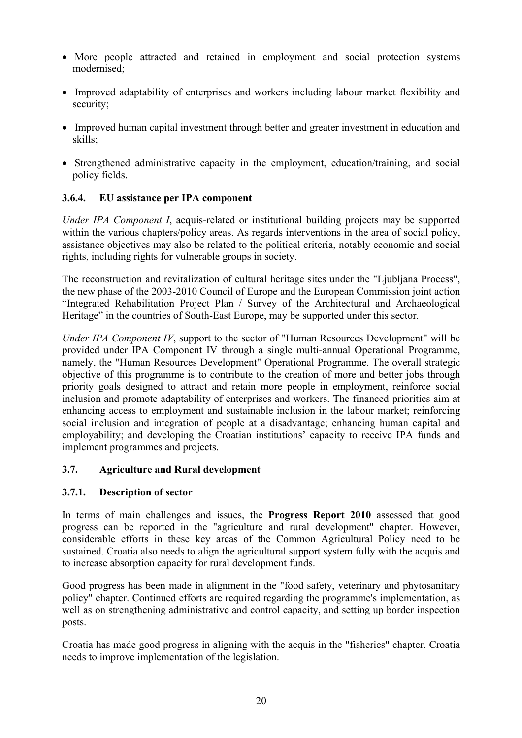- More people attracted and retained in employment and social protection systems modernised;
- Improved adaptability of enterprises and workers including labour market flexibility and security;
- Improved human capital investment through better and greater investment in education and skills;
- Strengthened administrative capacity in the employment, education/training, and social policy fields.

#### <span id="page-19-0"></span>**3.6.4. EU assistance per IPA component**

*Under IPA Component I*, acquis-related or institutional building projects may be supported within the various chapters/policy areas. As regards interventions in the area of social policy, assistance objectives may also be related to the political criteria, notably economic and social rights, including rights for vulnerable groups in society.

The reconstruction and revitalization of cultural heritage sites under the "Ljubljana Process", the new phase of the 2003-2010 Council of Europe and the European Commission joint action "Integrated Rehabilitation Project Plan / Survey of the Architectural and Archaeological Heritage" in the countries of South-East Europe, may be supported under this sector.

*Under IPA Component IV*, support to the sector of "Human Resources Development" will be provided under IPA Component IV through a single multi-annual Operational Programme, namely, the "Human Resources Development" Operational Programme. The overall strategic objective of this programme is to contribute to the creation of more and better jobs through priority goals designed to attract and retain more people in employment, reinforce social inclusion and promote adaptability of enterprises and workers. The financed priorities aim at enhancing access to employment and sustainable inclusion in the labour market; reinforcing social inclusion and integration of people at a disadvantage; enhancing human capital and employability; and developing the Croatian institutions' capacity to receive IPA funds and implement programmes and projects.

#### <span id="page-19-2"></span><span id="page-19-1"></span>**3.7. Agriculture and Rural development**

#### **3.7.1. Description of sector**

In terms of main challenges and issues, the **Progress Report 2010** assessed that good progress can be reported in the "agriculture and rural development" chapter. However, considerable efforts in these key areas of the Common Agricultural Policy need to be sustained. Croatia also needs to align the agricultural support system fully with the acquis and to increase absorption capacity for rural development funds.

Good progress has been made in alignment in the "food safety, veterinary and phytosanitary policy" chapter. Continued efforts are required regarding the programme's implementation, as well as on strengthening administrative and control capacity, and setting up border inspection posts.

Croatia has made good progress in aligning with the acquis in the "fisheries" chapter. Croatia needs to improve implementation of the legislation.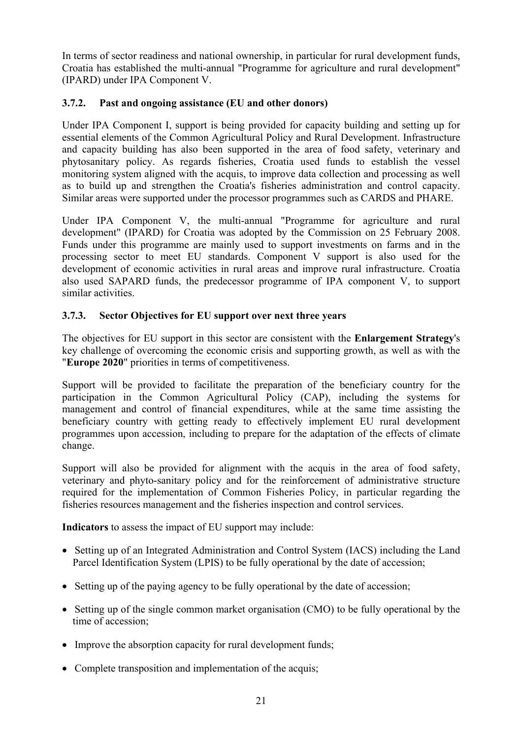In terms of sector readiness and national ownership, in particular for rural development funds, Croatia has established the multi-annual "Programme for agriculture and rural development" (IPARD) under IPA Component V.

## <span id="page-20-0"></span>**3.7.2. Past and ongoing assistance (EU and other donors)**

Under IPA Component I, support is being provided for capacity building and setting up for essential elements of the Common Agricultural Policy and Rural Development. Infrastructure and capacity building has also been supported in the area of food safety, veterinary and phytosanitary policy. As regards fisheries, Croatia used funds to establish the vessel monitoring system aligned with the acquis, to improve data collection and processing as well as to build up and strengthen the Croatia's fisheries administration and control capacity. Similar areas were supported under the processor programmes such as CARDS and PHARE.

Under IPA Component V, the multi-annual "Programme for agriculture and rural development" (IPARD) for Croatia was adopted by the Commission on 25 February 2008. Funds under this programme are mainly used to support investments on farms and in the processing sector to meet EU standards. Component V support is also used for the development of economic activities in rural areas and improve rural infrastructure. Croatia also used SAPARD funds, the predecessor programme of IPA component V, to support similar activities.

## <span id="page-20-1"></span>**3.7.3. Sector Objectives for EU support over next three years**

The objectives for EU support in this sector are consistent with the **Enlargement Strategy**'s key challenge of overcoming the economic crisis and supporting growth, as well as with the "**Europe 2020**" priorities in terms of competitiveness.

Support will be provided to facilitate the preparation of the beneficiary country for the participation in the Common Agricultural Policy (CAP), including the systems for management and control of financial expenditures, while at the same time assisting the beneficiary country with getting ready to effectively implement EU rural development programmes upon accession, including to prepare for the adaptation of the effects of climate change.

Support will also be provided for alignment with the acquis in the area of food safety, veterinary and phyto-sanitary policy and for the reinforcement of administrative structure required for the implementation of Common Fisheries Policy, in particular regarding the fisheries resources management and the fisheries inspection and control services.

**Indicators** to assess the impact of EU support may include:

- Setting up of an Integrated Administration and Control System (IACS) including the Land Parcel Identification System (LPIS) to be fully operational by the date of accession;
- Setting up of the paying agency to be fully operational by the date of accession;
- Setting up of the single common market organisation (CMO) to be fully operational by the time of accession;
- Improve the absorption capacity for rural development funds;
- Complete transposition and implementation of the acquis;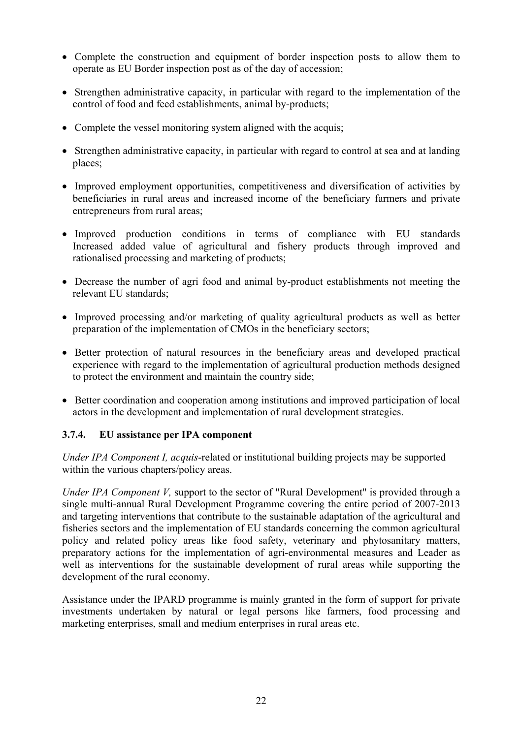- Complete the construction and equipment of border inspection posts to allow them to operate as EU Border inspection post as of the day of accession;
- Strengthen administrative capacity, in particular with regard to the implementation of the control of food and feed establishments, animal by-products;
- Complete the vessel monitoring system aligned with the acquis:
- Strengthen administrative capacity, in particular with regard to control at sea and at landing places;
- Improved employment opportunities, competitiveness and diversification of activities by beneficiaries in rural areas and increased income of the beneficiary farmers and private entrepreneurs from rural areas;
- Improved production conditions in terms of compliance with EU standards Increased added value of agricultural and fishery products through improved and rationalised processing and marketing of products;
- Decrease the number of agri food and animal by-product establishments not meeting the relevant EU standards;
- Improved processing and/or marketing of quality agricultural products as well as better preparation of the implementation of CMOs in the beneficiary sectors;
- Better protection of natural resources in the beneficiary areas and developed practical experience with regard to the implementation of agricultural production methods designed to protect the environment and maintain the country side;
- Better coordination and cooperation among institutions and improved participation of local actors in the development and implementation of rural development strategies.

#### <span id="page-21-0"></span>**3.7.4. EU assistance per IPA component**

*Under IPA Component I, acquis*-related or institutional building projects may be supported within the various chapters/policy areas.

*Under IPA Component V,* support to the sector of "Rural Development" is provided through a single multi-annual Rural Development Programme covering the entire period of 2007-2013 and targeting interventions that contribute to the sustainable adaptation of the agricultural and fisheries sectors and the implementation of EU standards concerning the common agricultural policy and related policy areas like food safety, veterinary and phytosanitary matters, preparatory actions for the implementation of agri-environmental measures and Leader as well as interventions for the sustainable development of rural areas while supporting the development of the rural economy.

Assistance under the IPARD programme is mainly granted in the form of support for private investments undertaken by natural or legal persons like farmers, food processing and marketing enterprises, small and medium enterprises in rural areas etc.